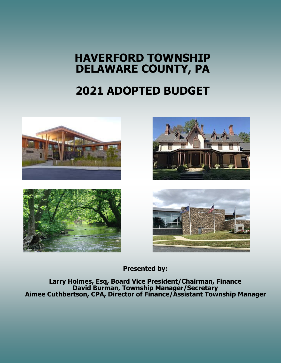# **HAVERFORD TOWNSHIP DELAWARE COUNTY, PA**

# **2021 ADOPTED BUDGET**









**Presented by:** 

**Larry Holmes, Esq, Board Vice President/Chairman, Finance David Burman, Township Manager/Secretary Aimee Cuthbertson, CPA, Director of Finance/Assistant Township Manager**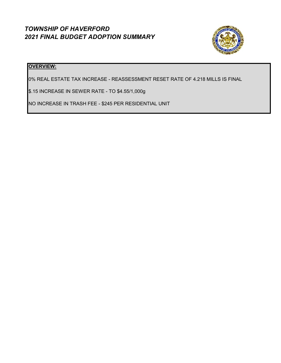## *TOWNSHIP OF HAVERFORD 2021 FINAL BUDGET ADOPTION SUMMARY*



#### **OVERVIEW:**

0% REAL ESTATE TAX INCREASE - REASSESSMENT RESET RATE OF 4.218 MILLS IS FINAL

\$.15 INCREASE IN SEWER RATE - TO \$4.55/1,000g

NO INCREASE IN TRASH FEE - \$245 PER RESIDENTIAL UNIT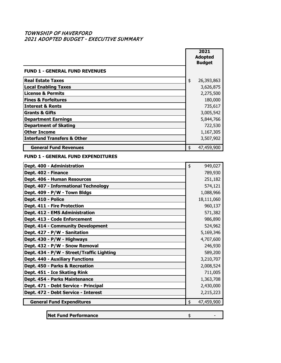#### TOWNSHIP OF HAVERFORD 2021 ADOPTED BUDGET - EXECUTIVE SUMMARY

|                                           | 2021<br><b>Adopted</b><br><b>Budget</b> |
|-------------------------------------------|-----------------------------------------|
| <b>FUND 1 - GENERAL FUND REVENUES</b>     |                                         |
| <b>Real Estate Taxes</b>                  | \$<br>26,393,863                        |
| <b>Local Enabling Taxes</b>               | 3,626,875                               |
| <b>License &amp; Permits</b>              | 2,275,500                               |
| <b>Fines &amp; Forfeitures</b>            | 180,000                                 |
| <b>Interest &amp; Rents</b>               | 735,617                                 |
| <b>Grants &amp; Gifts</b>                 | 3,005,542                               |
| <b>Department Earnings</b>                | 5,844,766                               |
| <b>Department of Skating</b>              | 722,530                                 |
| <b>Other Income</b>                       | 1,167,305                               |
| <b>Interfund Transfers &amp; Other</b>    | 3,507,902                               |
| <b>General Fund Revenues</b>              | \$<br>47,459,900                        |
| <b>FUND 1 - GENERAL FUND EXPENDITURES</b> |                                         |
| Dept. 400 - Administration                | \$<br>949,027                           |
| Dept. 402 - Finance                       | 789,930                                 |
| Dept. 406 - Human Resources               | 251,182                                 |
| Dept. 407 - Informational Technology      | 574,121                                 |
| Dept. 409 - P/W - Town Bldgs              | 1,088,966                               |
| Dept. 410 - Police                        | 18,111,060                              |
| Dept. 411 - Fire Protection               | 960,137                                 |
| Dept. 412 - EMS Administration            | 571,382                                 |
| Dept. 413 - Code Enforcement              | 986,890                                 |
| Dept. 414 - Community Development         | 524,962                                 |
| Dept. 427 - P/W - Sanitation              | 5,169,346                               |
| Dept. 430 - P/W - Highways                | 4,707,600                               |
| Dept. 432 - P/W - Snow Removal            | 246,930                                 |
| Dept. 434 - P/W - Street/Traffic Lighting | 589,200                                 |
| <b>Dept. 440 - Auxiliary Functions</b>    | 3,210,707                               |
| Dept. 450 - Parks & Recreation            | 2,008,524                               |
| Dept. 451 - Ice Skating Rink              | 711,005                                 |
| Dept. 454 - Parks Maintenance             | 1,363,708                               |
| Dept. 471 - Debt Service - Principal      | 2,430,000                               |
| Dept. 472 - Debt Service - Interest       | 2,215,223                               |
| <b>General Fund Expenditures</b>          | \$<br>47,459,900                        |
|                                           |                                         |
| <b>Net Fund Performance</b>               | \$                                      |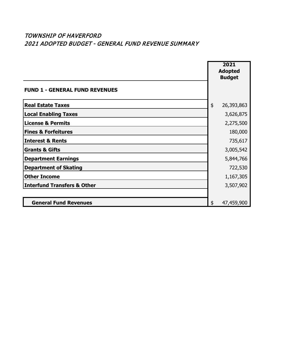|                                        | 2021<br><b>Adopted</b><br><b>Budget</b> |            |
|----------------------------------------|-----------------------------------------|------------|
| <b>FUND 1 - GENERAL FUND REVENUES</b>  |                                         |            |
| <b>Real Estate Taxes</b>               | \$                                      | 26,393,863 |
| <b>Local Enabling Taxes</b>            |                                         | 3,626,875  |
| <b>License &amp; Permits</b>           |                                         | 2,275,500  |
| <b>Fines &amp; Forfeitures</b>         |                                         | 180,000    |
| <b>Interest &amp; Rents</b>            |                                         | 735,617    |
| <b>Grants &amp; Gifts</b>              |                                         | 3,005,542  |
| <b>Department Earnings</b>             |                                         | 5,844,766  |
| <b>Department of Skating</b>           |                                         | 722,530    |
| <b>Other Income</b>                    |                                         | 1,167,305  |
| <b>Interfund Transfers &amp; Other</b> |                                         | 3,507,902  |
|                                        |                                         |            |
| <b>General Fund Revenues</b>           | \$                                      | 47,459,900 |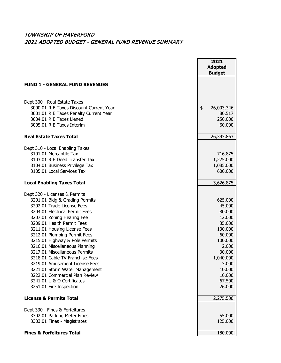|                                                                                                                                                                                                                                                                                                                                                                                                                                                                                                                                                                    | 2021<br><b>Adopted</b><br><b>Budget</b>                                                                                                                          |
|--------------------------------------------------------------------------------------------------------------------------------------------------------------------------------------------------------------------------------------------------------------------------------------------------------------------------------------------------------------------------------------------------------------------------------------------------------------------------------------------------------------------------------------------------------------------|------------------------------------------------------------------------------------------------------------------------------------------------------------------|
| <b>FUND 1 - GENERAL FUND REVENUES</b>                                                                                                                                                                                                                                                                                                                                                                                                                                                                                                                              |                                                                                                                                                                  |
| Dept 300 - Real Estate Taxes<br>3000.01 R E Taxes Discount Current Year<br>3001.01 R E Taxes Penalty Current Year<br>3004.01 R E Taxes Liened<br>3005.01 R E Taxes Interim                                                                                                                                                                                                                                                                                                                                                                                         | \$<br>26,003,346<br>80,517<br>250,000<br>60,000                                                                                                                  |
| <b>Real Estate Taxes Total</b>                                                                                                                                                                                                                                                                                                                                                                                                                                                                                                                                     | 26,393,863                                                                                                                                                       |
| Dept 310 - Local Enabling Taxes<br>3101.01 Mercantile Tax<br>3103.01 R E Deed Transfer Tax<br>3104.01 Business Privilege Tax<br>3105.01 Local Services Tax                                                                                                                                                                                                                                                                                                                                                                                                         | 716,875<br>1,225,000<br>1,085,000<br>600,000                                                                                                                     |
| <b>Local Enabling Taxes Total</b>                                                                                                                                                                                                                                                                                                                                                                                                                                                                                                                                  | 3,626,875                                                                                                                                                        |
| Dept 320 - Licenses & Permits<br>3201.01 Bldg & Grading Permits<br>3202.01 Trade License Fees<br>3204.01 Electrical Permit Fees<br>3207.01 Zoning Hearing Fee<br>3209.01 Health Permit Fees<br>3211.01 Housing License Fees<br>3212.01 Plumbing Permit Fees<br>3215.01 Highway & Pole Permits<br>3216.01 Miscellaneous Planning<br>3217.01 Miscellaneous Permits<br>3218.01 Cable TV Franchise Fees<br>3219.01 Amusement License Fees<br>3221.01 Storm Water Management<br>3222.01 Commercial Plan Review<br>3241.01 U & O Certificates<br>3251.01 Fire Inspection | 625,000<br>45,000<br>80,000<br>12,000<br>35,000<br>130,000<br>60,000<br>100,000<br>2,000<br>30,000<br>1,040,000<br>3,000<br>10,000<br>10,000<br>67,500<br>26,000 |
| <b>License &amp; Permits Total</b>                                                                                                                                                                                                                                                                                                                                                                                                                                                                                                                                 | 2,275,500                                                                                                                                                        |
| Dept 330 - Fines & Forfeitures<br>3302.01 Parking Meter Fines<br>3303.01 Fines - Magistrates                                                                                                                                                                                                                                                                                                                                                                                                                                                                       | 55,000<br>125,000                                                                                                                                                |
| <b>Fines &amp; Forfeitures Total</b>                                                                                                                                                                                                                                                                                                                                                                                                                                                                                                                               | 180,000                                                                                                                                                          |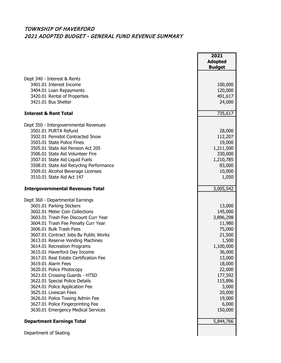|                                                                         | 2021<br><b>Adopted</b><br><b>Budget</b> |
|-------------------------------------------------------------------------|-----------------------------------------|
| Dept 340 - Interest & Rents                                             |                                         |
| 3401.01 Interest Income                                                 | 100,000                                 |
| 3404.01 Loan Repayments                                                 | 120,000                                 |
| 3420.01 Rental of Properties                                            | 491,617                                 |
| 3421.01 Bus Shelter                                                     | 24,000                                  |
| <b>Interest &amp; Rent Total</b>                                        | 735,617                                 |
| Dept 350 - Intergovernmental Revenues                                   |                                         |
| 3501.01 PURTA Refund                                                    | 28,000                                  |
| 3502.01 Penndot Contracted Snow                                         | 112,207                                 |
| 3503.01 State Police Fines                                              | 19,000                                  |
| 3505.01 State Aid Pension Act 205                                       | 1,211,500                               |
| 3506.01 State Aid Volunteer Fire                                        | 330,000                                 |
| 3507.01 State Aid Liquid Fuels                                          | 1,210,785                               |
| 3508.01 State Aid Recycling Performance                                 | 83,000                                  |
| 3509.01 Alcohol Beverage Licenses                                       | 10,000                                  |
| 3510.01 State Aid Act 147                                               | 1,050                                   |
| <b>Intergovernmental Revenues Total</b>                                 | 3,005,542                               |
| Dept 360 - Departmental Earnings                                        |                                         |
| 3601.01 Parking Stickers                                                | 13,000                                  |
| 3602.01 Meter Coin Collections                                          | 145,000                                 |
| 3603.01 Trash Fee Discount Curr Year                                    | 3,896,298                               |
| 3604.01 Trash Fee Penalty Curr Year                                     | 11,980                                  |
| 3606.01 Bulk Trash Fees                                                 | 75,000                                  |
| 3607.01 Contract Jobs By Public Works                                   | 21,500                                  |
| 3613.01 Reserve Vending Machines                                        | 1,500                                   |
| 3614.01 Recreation Programs                                             | 1,100,000                               |
| 3615.01 Haverford Day Income                                            | 36,000                                  |
| 3617.01 Real Estate Certification Fee                                   | 13,000                                  |
| 3619.01 Alarm Fees                                                      | 18,000                                  |
| 3620.01 Police Photocopy                                                | 22,000                                  |
| 3621.01 Crossing Guards - HTSD                                          | 177,592                                 |
| 3622.01 Special Police Details                                          | 115,896                                 |
| 3624.01 Police Application Fee                                          | 3,000                                   |
| 3625.01 Livescan Fees                                                   | 20,000                                  |
| 3626.01 Police Towing Admin Fee                                         | 19,000                                  |
| 3627.01 Police Fingerprinting Fee<br>3630.01 Emergency Medical Services | 6,000<br>150,000                        |
| <b>Department Earnings Total</b>                                        | 5,844,766                               |
|                                                                         |                                         |
| Department of Skating                                                   |                                         |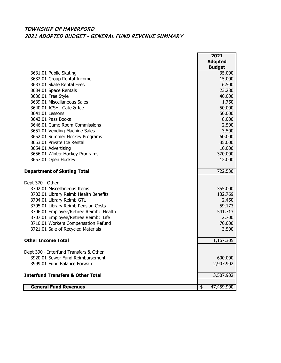|                                              | 2021             |
|----------------------------------------------|------------------|
|                                              | <b>Adopted</b>   |
|                                              | <b>Budget</b>    |
| 3631.01 Public Skating                       | 35,000           |
| 3632.01 Group Rental Income                  | 15,000           |
| 3633.01 Skate Rental Fees                    | 6,500            |
| 3634.01 Space Rentals                        | 23,280           |
| 3636.01 Free Style                           | 40,000           |
| 3639.01 Miscellaneous Sales                  | 1,750            |
| 3640.01 ICSHL Gate & Ice                     | 50,000           |
| 3641.01 Lessons                              | 50,000           |
| 3643.01 Pass Books                           | 8,000            |
| 3646.01 Game Room Commissions                | 2,500            |
| 3651.01 Vending Machine Sales                | 3,500            |
| 3652.01 Summer Hockey Programs               | 60,000           |
| 3653.01 Private Ice Rental                   | 35,000           |
| 3654.01 Advertising                          | 10,000           |
| 3656.01 Winter Hockey Programs               | 370,000          |
| 3657.01 Open Hockey                          | 12,000           |
|                                              |                  |
| <b>Department of Skating Total</b>           | 722,530          |
|                                              |                  |
| Dept 370 - Other                             |                  |
| 3702.01 Miscellaneous Items                  | 355,000          |
| 3703.01 Library Reimb Health Benefits        | 132,769          |
| 3704.01 Library Reimb GTL                    | 2,450            |
| 3705.01 Library Reimb Pension Costs          | 59,173           |
| 3706.01 Employee/Retiree Reimb: Health       | 541,713          |
| 3707.01 Employee/Retiree Reimb: Life         | 2,700            |
| 3710.01 Workers Compensation Refund          | 70,000           |
| 3721.01 Sale of Recycled Materials           | 3,500            |
|                                              |                  |
| <b>Other Income Total</b>                    | 1,167,305        |
|                                              |                  |
| Dept 390 - Interfund Transfers & Other       |                  |
| 3920.01 Sewer Fund Reimbursement             | 600,000          |
| 3999.01 Fund Balance Forward                 | 2,907,902        |
|                                              |                  |
| <b>Interfund Transfers &amp; Other Total</b> | 3,507,902        |
|                                              |                  |
| <b>General Fund Revenues</b>                 | 47,459,900<br>\$ |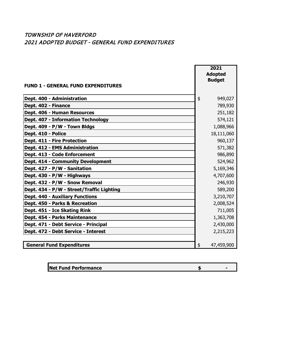#### TOWNSHIP OF HAVERFORD 2021 ADOPTED BUDGET - GENERAL FUND EXPENDITURES

|                                           | 2021<br><b>Adopted</b><br><b>Budget</b> |
|-------------------------------------------|-----------------------------------------|
| <b>FUND 1 - GENERAL FUND EXPENDITURES</b> |                                         |
| Dept. 400 - Administration                | \$<br>949,027                           |
| Dept. 402 - Finance                       | 789,930                                 |
| Dept. 406 - Human Resources               | 251,182                                 |
| <b>Dept. 407 - Information Technology</b> | 574,121                                 |
| Dept. 409 - P/W - Town Bldgs              | 1,088,966                               |
| Dept. 410 - Police                        | 18,111,060                              |
| Dept. 411 - Fire Protection               | 960,137                                 |
| Dept. 412 - EMS Administration            | 571,382                                 |
| Dept. 413 - Code Enforcement              | 986,890                                 |
| <b>Dept. 414 - Community Development</b>  | 524,962                                 |
| Dept. 427 - P/W - Sanitation              | 5,169,346                               |
| Dept. 430 - P/W - Highways                | 4,707,600                               |
| Dept. 432 - P/W - Snow Removal            | 246,930                                 |
| Dept. 434 - P/W - Street/Traffic Lighting | 589,200                                 |
| <b>Dept. 440 - Auxiliary Functions</b>    | 3,210,707                               |
| Dept. 450 - Parks & Recreation            | 2,008,524                               |
| Dept. 451 - Ice Skating Rink              | 711,005                                 |
| Dept. 454 - Parks Maintenance             | 1,363,708                               |
| Dept. 471 - Debt Service - Principal      | 2,430,000                               |
| Dept. 472 - Debt Service - Interest       | 2,215,223                               |
|                                           |                                         |
| <b>General Fund Expenditures</b>          | 47,459,900<br>\$                        |

| <b>Net Fund Performance</b> |  |
|-----------------------------|--|
|                             |  |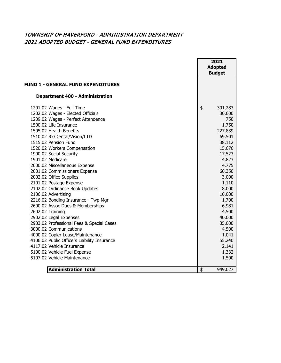#### TOWNSHIP OF HAVERFORD - ADMINISTRATION DEPARTMENT 2021 ADOPTED BUDGET - GENERAL FUND EXPENDITURES

|                                                                                                                                                                                                                                                                                                                                                                                                                                                                                                                                                                                                                                                                                                                                                                                                                                                                  | 2021<br><b>Adopted</b><br><b>Budget</b>                                                                                                                                                                                                                           |
|------------------------------------------------------------------------------------------------------------------------------------------------------------------------------------------------------------------------------------------------------------------------------------------------------------------------------------------------------------------------------------------------------------------------------------------------------------------------------------------------------------------------------------------------------------------------------------------------------------------------------------------------------------------------------------------------------------------------------------------------------------------------------------------------------------------------------------------------------------------|-------------------------------------------------------------------------------------------------------------------------------------------------------------------------------------------------------------------------------------------------------------------|
| <b>FUND 1 - GENERAL FUND EXPENDITURES</b>                                                                                                                                                                                                                                                                                                                                                                                                                                                                                                                                                                                                                                                                                                                                                                                                                        |                                                                                                                                                                                                                                                                   |
| <b>Department 400 - Administration</b>                                                                                                                                                                                                                                                                                                                                                                                                                                                                                                                                                                                                                                                                                                                                                                                                                           |                                                                                                                                                                                                                                                                   |
| 1201.02 Wages - Full Time<br>1202.02 Wages - Elected Officials<br>1209.02 Wages - Perfect Attendence<br>1500.02 Life Insurance<br>1505.02 Health Benefits<br>1510.02 Rx/Dental/Vision/LTD<br>1515.02 Pension Fund<br>1520.02 Workers Compensation<br>1900.02 Social Security<br>1901.02 Medicare<br>2000.02 Miscellaneous Expense<br>2001.02 Commissioners Expense<br>2002.02 Office Supplies<br>2101.02 Postage Expense<br>2102.02 Ordinance Book Updates<br>2106.02 Advertising<br>2216.02 Bonding Insurance - Twp Mgr<br>2600.02 Assoc Dues & Memberships<br>2602.02 Training<br>2902.02 Legal Expenses<br>2903.02 Professional Fees & Special Cases<br>3000.02 Communications<br>4000.02 Copier Lease/Maintenance<br>4106.02 Public Officers Liability Insurance<br>4117.02 Vehicle Insurance<br>5100.02 Vehicle Fuel Expense<br>5107.02 Vehicle Maintenance | \$<br>301,283<br>30,600<br>750<br>1,750<br>227,839<br>69,501<br>38,112<br>15,676<br>17,523<br>4,823<br>4,775<br>60,350<br>3,000<br>1,110<br>8,000<br>10,000<br>1,700<br>6,981<br>4,500<br>40,000<br>35,000<br>4,500<br>1,041<br>55,240<br>2,141<br>1,332<br>1,500 |
| <b>Administration Total</b>                                                                                                                                                                                                                                                                                                                                                                                                                                                                                                                                                                                                                                                                                                                                                                                                                                      | \$<br>949,027                                                                                                                                                                                                                                                     |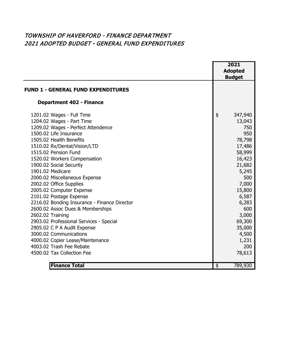## TOWNSHIP OF HAVERFORD - FINANCE DEPARTMENT 2021 ADOPTED BUDGET - GENERAL FUND EXPENDITURES

|                                              | 2021<br><b>Adopted</b><br><b>Budget</b> |
|----------------------------------------------|-----------------------------------------|
| <b>FUND 1 - GENERAL FUND EXPENDITURES</b>    |                                         |
| <b>Department 402 - Finance</b>              |                                         |
| 1201.02 Wages - Full Time                    | \$<br>347,940                           |
| 1204.02 Wages - Part Time                    | 13,043                                  |
| 1209.02 Wages - Perfect Attendence           | 750                                     |
| 1500.02 Life Insurance                       | 950                                     |
| 1505.02 Health Benefits                      | 78,798                                  |
| 1510.02 Rx/Dental/Vision/LTD                 | 17,486                                  |
| 1515.02 Pension Fund                         | 58,999                                  |
| 1520.02 Workers Compensation                 | 16,423                                  |
| 1900.02 Social Security                      | 21,682                                  |
| 1901.02 Medicare                             | 5,245                                   |
| 2000.02 Miscellaneous Expense                | 500                                     |
| 2002.02 Office Supplies                      | 7,000                                   |
| 2005.02 Computer Expense                     | 15,800                                  |
| 2101.02 Postage Expense                      | 6,587                                   |
| 2216.02 Bonding Insurance - Finance Director | 6,283                                   |
| 2600.02 Assoc Dues & Memberships             | 600                                     |
| 2602.02 Training                             | 3,000                                   |
| 2903.02 Professional Services - Special      | 69,300                                  |
| 2905.02 C P A Audit Expense                  | 35,000                                  |
| 3000.02 Communications                       | 4,500                                   |
| 4000.02 Copier Lease/Maintenance             | 1,231                                   |
| 4003.02 Trash Fee Rebate                     | 200                                     |
| 4500.02 Tax Collection Fee                   | 78,613                                  |
|                                              |                                         |
| <b>Finance Total</b>                         | 789,930<br>\$                           |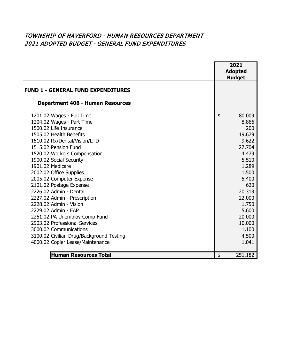## TOWNSHIP OF HAVERFORD - HUMAN RESOURCES DEPARTMENT 2021 ADOPTED BUDGET - GENERAL FUND EXPENDITURES

|                                           | 2021           |  |
|-------------------------------------------|----------------|--|
|                                           | <b>Adopted</b> |  |
|                                           | <b>Budget</b>  |  |
| <b>FUND 1 - GENERAL FUND EXPENDITURES</b> |                |  |
| <b>Department 406 - Human Resources</b>   |                |  |
| 1201.02 Wages - Full Time                 | \$<br>80,009   |  |
| 1204.02 Wages - Part Time                 | 8,866          |  |
| 1500.02 Life Insurance                    | 200            |  |
| 1505.02 Health Benefits                   | 19,679         |  |
| 1510.02 Rx/Dental/Vision/LTD              | 9,622          |  |
| 1515.02 Pension Fund                      | 27,704         |  |
| 1520.02 Workers Compensation              | 4,479          |  |
| 1900.02 Social Security                   | 5,510          |  |
| 1901.02 Medicare                          | 1,289          |  |
| 2002.02 Office Supplies                   | 1,500          |  |
| 2005.02 Computer Expense                  | 5,400          |  |
| 2101.02 Postage Expense                   | 620            |  |
| 2226.02 Admin - Dental                    | 20,313         |  |
| 2227.02 Admin - Prescription              | 22,000         |  |
| 2228.02 Admin - Vision                    | 1,750          |  |
| 2229.02 Admin - EAP                       | 5,600          |  |
| 2251.02 PA Unemploy Comp Fund             | 20,000         |  |
| 2903.02 Professional Services             | 10,000         |  |
| 3000.02 Communications                    | 1,100          |  |
| 3100.02 Civilian Drug/Background Testing  | 4,500          |  |
| 4000.02 Copier Lease/Maintenance          | 1,041          |  |
|                                           |                |  |
| <b>Human Resources Total</b>              | \$<br>251,182  |  |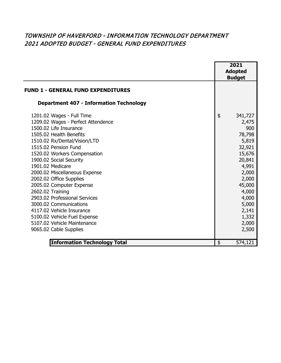## TOWNSHIP OF HAVERFORD - INFORMATION TECHNOLOGY DEPARTMENT 2021 ADOPTED BUDGET - GENERAL FUND EXPENDITURES

|                                                                                                                                                                                                                                                                                                                                                                                                                                                                                                                                | 2021<br><b>Adopted</b><br><b>Budget</b>                                                                                                                                   |
|--------------------------------------------------------------------------------------------------------------------------------------------------------------------------------------------------------------------------------------------------------------------------------------------------------------------------------------------------------------------------------------------------------------------------------------------------------------------------------------------------------------------------------|---------------------------------------------------------------------------------------------------------------------------------------------------------------------------|
| <b>FUND 1 - GENERAL FUND EXPENDITURES</b>                                                                                                                                                                                                                                                                                                                                                                                                                                                                                      |                                                                                                                                                                           |
| <b>Department 407 - Information Technology</b>                                                                                                                                                                                                                                                                                                                                                                                                                                                                                 |                                                                                                                                                                           |
| 1201.02 Wages - Full Time<br>1209.02 Wages - Perfect Attendence<br>1500.02 Life Insurance<br>1505.02 Health Benefits<br>1510.02 Rx/Dental/Vision/LTD<br>1515.02 Pension Fund<br>1520.02 Workers Compensation<br>1900.02 Social Security<br>1901.02 Medicare<br>2000.02 Miscellaneous Expense<br>2002.02 Office Supplies<br>2005.02 Computer Expense<br>2602.02 Training<br>2903.02 Professional Services<br>3000.02 Communications<br>4117.02 Vehicle Insurance<br>5100.02 Vehicle Fuel Expense<br>5107.02 Vehicle Maintenance | \$<br>341,727<br>2,475<br>900<br>78,798<br>5,819<br>32,921<br>15,676<br>20,841<br>4,991<br>2,000<br>2,000<br>45,000<br>4,000<br>4,000<br>5,000<br>2,141<br>1,332<br>2,000 |
| 9065.02 Cable Supplies<br><b>Information Technology Total</b>                                                                                                                                                                                                                                                                                                                                                                                                                                                                  | \$<br>2,500<br>574,121                                                                                                                                                    |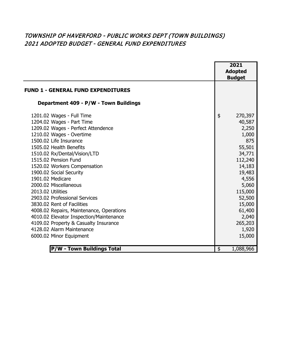## TOWNSHIP OF HAVERFORD - PUBLIC WORKS DEPT (TOWN BUILDINGS) 2021 ADOPTED BUDGET - GENERAL FUND EXPENDITURES

|                                                                                                                                                                                                                                                                                                                                                                                                                                                                                                                                                                                                | 2021<br><b>Adopted</b><br><b>Budget</b>                                                                                                                                                     |
|------------------------------------------------------------------------------------------------------------------------------------------------------------------------------------------------------------------------------------------------------------------------------------------------------------------------------------------------------------------------------------------------------------------------------------------------------------------------------------------------------------------------------------------------------------------------------------------------|---------------------------------------------------------------------------------------------------------------------------------------------------------------------------------------------|
| <b>FUND 1 - GENERAL FUND EXPENDITURES</b>                                                                                                                                                                                                                                                                                                                                                                                                                                                                                                                                                      |                                                                                                                                                                                             |
| Department 409 - P/W - Town Buildings                                                                                                                                                                                                                                                                                                                                                                                                                                                                                                                                                          |                                                                                                                                                                                             |
| 1201.02 Wages - Full Time<br>1204.02 Wages - Part Time<br>1209.02 Wages - Perfect Attendence<br>1210.02 Wages - Overtime<br>1500.02 Life Insurance<br>1505.02 Health Benefits<br>1510.02 Rx/Dental/Vision/LTD<br>1515.02 Pension Fund<br>1520.02 Workers Compensation<br>1900.02 Social Security<br>1901.02 Medicare<br>2000.02 Miscellaneous<br>2013.02 Utilities<br>2903.02 Professional Services<br>3830.02 Rent of Facilities<br>4008.02 Repairs, Maintenance, Operations<br>4010.02 Elevator Inspection/Maintenance<br>4109.02 Property & Casualty Insurance<br>4128.02 Alarm Maintenance | \$<br>270,397<br>40,587<br>2,250<br>1,000<br>875<br>55,501<br>34,771<br>112,240<br>14,183<br>19,483<br>4,556<br>5,060<br>115,000<br>52,500<br>15,000<br>61,400<br>2,040<br>265,203<br>1,920 |
| 6000.02 Minor Equipment                                                                                                                                                                                                                                                                                                                                                                                                                                                                                                                                                                        | 15,000                                                                                                                                                                                      |
| <b>P/W - Town Buildings Total</b>                                                                                                                                                                                                                                                                                                                                                                                                                                                                                                                                                              | \$<br>1,088,966                                                                                                                                                                             |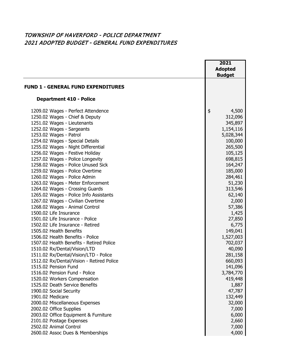#### TOWNSHIP OF HAVERFORD - POLICE DEPARTMENT 2021 ADOPTED BUDGET - GENERAL FUND EXPENDITURES

|                                                                                                                                                                                                                                                                                                                                                                                                                                                                                                                                                                                                                                                                                                                                                                                                                                                                                                                                                                                                                                                                                                      |               | 2021<br><b>Adopted</b>                                                                                                                                                                                                                                                                                                                    |
|------------------------------------------------------------------------------------------------------------------------------------------------------------------------------------------------------------------------------------------------------------------------------------------------------------------------------------------------------------------------------------------------------------------------------------------------------------------------------------------------------------------------------------------------------------------------------------------------------------------------------------------------------------------------------------------------------------------------------------------------------------------------------------------------------------------------------------------------------------------------------------------------------------------------------------------------------------------------------------------------------------------------------------------------------------------------------------------------------|---------------|-------------------------------------------------------------------------------------------------------------------------------------------------------------------------------------------------------------------------------------------------------------------------------------------------------------------------------------------|
|                                                                                                                                                                                                                                                                                                                                                                                                                                                                                                                                                                                                                                                                                                                                                                                                                                                                                                                                                                                                                                                                                                      |               | <b>Budget</b>                                                                                                                                                                                                                                                                                                                             |
| <b>FUND 1 - GENERAL FUND EXPENDITURES</b>                                                                                                                                                                                                                                                                                                                                                                                                                                                                                                                                                                                                                                                                                                                                                                                                                                                                                                                                                                                                                                                            |               |                                                                                                                                                                                                                                                                                                                                           |
| <b>Department 410 - Police</b>                                                                                                                                                                                                                                                                                                                                                                                                                                                                                                                                                                                                                                                                                                                                                                                                                                                                                                                                                                                                                                                                       |               |                                                                                                                                                                                                                                                                                                                                           |
| 1209.02 Wages - Perfect Attendence<br>1250.02 Wages - Chief & Deputy<br>1251.02 Wages - Lieutenants<br>1252.02 Wages - Sargeants<br>1253.02 Wages - Patrol<br>1254.02 Wages - Special Details<br>1255.02 Wages - Night Differential<br>1256.02 Wages - Festive Holiday<br>1257.02 Wages - Police Longevity<br>1258.02 Wages - Police Unused Sick<br>1259.02 Wages - Police Overtime<br>1260.02 Wages - Police Admin<br>1263.02 Wages - Meter Enforcement<br>1264.02 Wages - Crossing Guards<br>1265.02 Wages - Police Info Assistants<br>1267.02 Wages - Civilian Overtime<br>1268.02 Wages - Animal Control<br>1500.02 Life Insurance<br>1501.02 Life Insurance - Police<br>1502.02 Life Insurance - Retired<br>1505.02 Health Benefits<br>1506.02 Health Benefits - Police<br>1507.02 Health Benefits - Retired Police<br>1510.02 Rx/Dental/Vision/LTD<br>1511.02 Rx/Dental/Vision/LTD - Police<br>1512.02 Rx/Dental/Vision - Retired Police<br>1515.02 Pension Fund<br>1516.02 Pension Fund - Police<br>1520.02 Workers Compensation<br>1525.02 Death Service Benefits<br>1900.02 Social Security | $\frac{4}{5}$ | 4,500<br>312,096<br>345,897<br>1,154,116<br>5,028,344<br>100,000<br>265,500<br>105,125<br>698,815<br>164,247<br>185,000<br>284,461<br>51,230<br>313,546<br>62,140<br>2,000<br>57,386<br>1,425<br>27,850<br>6,775<br>149,041<br>1,527,003<br>702,037<br>40,090<br>281,158<br>660,093<br>141,096<br>3,784,770<br>419,448<br>1,887<br>47,787 |
| 1901.02 Medicare<br>2000.02 Miscellaneous Expenses                                                                                                                                                                                                                                                                                                                                                                                                                                                                                                                                                                                                                                                                                                                                                                                                                                                                                                                                                                                                                                                   |               | 132,449<br>32,000                                                                                                                                                                                                                                                                                                                         |
| 2002.02 Office Supplies                                                                                                                                                                                                                                                                                                                                                                                                                                                                                                                                                                                                                                                                                                                                                                                                                                                                                                                                                                                                                                                                              |               | 7,000                                                                                                                                                                                                                                                                                                                                     |
| 2003.02 Office Equipment & Furniture                                                                                                                                                                                                                                                                                                                                                                                                                                                                                                                                                                                                                                                                                                                                                                                                                                                                                                                                                                                                                                                                 |               | 6,000                                                                                                                                                                                                                                                                                                                                     |
| 2101.02 Postage Expenses                                                                                                                                                                                                                                                                                                                                                                                                                                                                                                                                                                                                                                                                                                                                                                                                                                                                                                                                                                                                                                                                             |               | 2,660                                                                                                                                                                                                                                                                                                                                     |
| 2502.02 Animal Control                                                                                                                                                                                                                                                                                                                                                                                                                                                                                                                                                                                                                                                                                                                                                                                                                                                                                                                                                                                                                                                                               |               | 7,000                                                                                                                                                                                                                                                                                                                                     |
| 2600.02 Assoc Dues & Memberships                                                                                                                                                                                                                                                                                                                                                                                                                                                                                                                                                                                                                                                                                                                                                                                                                                                                                                                                                                                                                                                                     |               | 4,000                                                                                                                                                                                                                                                                                                                                     |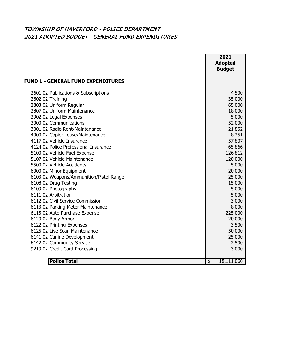#### TOWNSHIP OF HAVERFORD - POLICE DEPARTMENT 2021 ADOPTED BUDGET - GENERAL FUND EXPENDITURES

|                                           | 2021                                  |
|-------------------------------------------|---------------------------------------|
|                                           | <b>Adopted</b>                        |
|                                           | <b>Budget</b>                         |
|                                           |                                       |
| <b>FUND 1 - GENERAL FUND EXPENDITURES</b> |                                       |
| 2601.02 Publications & Subscriptions      | 4,500                                 |
| 2602.02 Training                          | 35,000                                |
| 2803.02 Uniform Regular                   | 65,000                                |
| 2807.02 Uniform Maintenance               | 18,000                                |
| 2902.02 Legal Expenses                    | 5,000                                 |
| 3000.02 Communications                    | 52,000                                |
| 3001.02 Radio Rent/Maintenance            | 21,852                                |
| 4000.02 Copier Lease/Maintenance          | 8,251                                 |
| 4117.02 Vehicle Insurance                 | 57,807                                |
| 4124.02 Police Professional Insurance     | 65,866                                |
| 5100.02 Vehicle Fuel Expense              | 126,812                               |
| 5107.02 Vehicle Maintenance               | 120,000                               |
| 5500.02 Vehicle Accidents                 | 5,000                                 |
| 6000.02 Minor Equipment                   | 20,000                                |
| 6103.02 Weapons/Ammunition/Pistol Range   | 25,000                                |
| 6108.02 Drug Testing                      | 15,000                                |
| 6109.02 Photography                       | 5,000                                 |
| 6111.02 Arbitration                       | 5,000                                 |
| 6112.02 Civil Service Commission          | 3,000                                 |
| 6113.02 Parking Meter Maintenance         | 8,000                                 |
| 6115.02 Auto Purchase Expense             | 225,000                               |
| 6120.02 Body Armor                        | 20,000                                |
| 6122.02 Printing Expenses                 | 3,500                                 |
| 6125.02 Live Scan Maintenance             | 50,000                                |
| 6141.02 Canine Development                | 25,000                                |
| 6142.02 Community Service                 | 2,500                                 |
| 9219.02 Credit Card Processing            | 3,000                                 |
|                                           |                                       |
| <b>Police Total</b>                       | $\overline{\mathbf{e}}$<br>18,111,060 |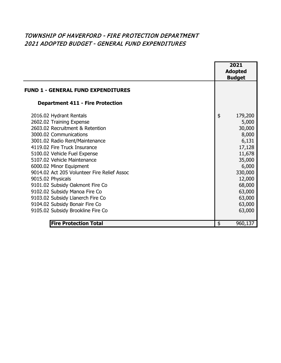## TOWNSHIP OF HAVERFORD - FIRE PROTECTION DEPARTMENT 2021 ADOPTED BUDGET - GENERAL FUND EXPENDITURES

|                                                                                                                                                                                                                                                                                                                                                                                                                                                                                                                                 | 2021<br><b>Adopted</b><br><b>Budget</b>                                                                                                                          |
|---------------------------------------------------------------------------------------------------------------------------------------------------------------------------------------------------------------------------------------------------------------------------------------------------------------------------------------------------------------------------------------------------------------------------------------------------------------------------------------------------------------------------------|------------------------------------------------------------------------------------------------------------------------------------------------------------------|
| <b>FUND 1 - GENERAL FUND EXPENDITURES</b>                                                                                                                                                                                                                                                                                                                                                                                                                                                                                       |                                                                                                                                                                  |
| <b>Department 411 - Fire Protection</b>                                                                                                                                                                                                                                                                                                                                                                                                                                                                                         |                                                                                                                                                                  |
| 2016.02 Hydrant Rentals<br>2602.02 Training Expense<br>2603.02 Recruitment & Retention<br>3000.02 Communications<br>3001.02 Radio Rent/Maintenance<br>4119.02 Fire Truck Insurance<br>5100.02 Vehicle Fuel Expense<br>5107.02 Vehicle Maintenance<br>6000.02 Minor Equipment<br>9014.02 Act 205 Volunteer Fire Relief Assoc<br>9015.02 Physicals<br>9101.02 Subsidy Oakmont Fire Co<br>9102.02 Subsidy Manoa Fire Co<br>9103.02 Subsidy Llanerch Fire Co<br>9104.02 Subsidy Bonair Fire Co<br>9105.02 Subsidy Brookline Fire Co | \$<br>179,200<br>5,000<br>30,000<br>8,000<br>6,131<br>17,128<br>11,678<br>35,000<br>6,000<br>330,000<br>12,000<br>68,000<br>63,000<br>63,000<br>63,000<br>63,000 |
| <b>Fire Protection Total</b>                                                                                                                                                                                                                                                                                                                                                                                                                                                                                                    | \$<br>960,137                                                                                                                                                    |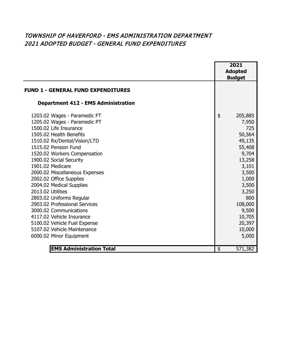## TOWNSHIP OF HAVERFORD - EMS ADMINISTRATION DEPARTMENT 2021 ADOPTED BUDGET - GENERAL FUND EXPENDITURES

|                                                                                                                                                                                                                                                                                                                                                                                                                                                                                                                                                           | 2021<br><b>Adopted</b><br><b>Budget</b>                                                                                                                                              |
|-----------------------------------------------------------------------------------------------------------------------------------------------------------------------------------------------------------------------------------------------------------------------------------------------------------------------------------------------------------------------------------------------------------------------------------------------------------------------------------------------------------------------------------------------------------|--------------------------------------------------------------------------------------------------------------------------------------------------------------------------------------|
| <b>FUND 1 - GENERAL FUND EXPENDITURES</b>                                                                                                                                                                                                                                                                                                                                                                                                                                                                                                                 |                                                                                                                                                                                      |
| <b>Department 412 - EMS Administration</b>                                                                                                                                                                                                                                                                                                                                                                                                                                                                                                                |                                                                                                                                                                                      |
| 1203.02 Wages - Paramedic FT<br>1205.02 Wages - Paramedic PT<br>1500.02 Life Insurance<br>1505.02 Health Benefits<br>1510.02 Rx/Dental/Vision/LTD<br>1515.02 Pension Fund<br>1520.02 Workers Compensation<br>1900.02 Social Security<br>1901.02 Medicare<br>2000.02 Miscellaneous Expenses<br>2002.02 Office Supplies<br>2004.02 Medical Supplies<br>2013.02 Utilities<br>2803.02 Uniforms Regular<br>2903.02 Professional Services<br>3000.02 Communications<br>4117.02 Vehicle Insurance<br>5100.02 Vehicle Fuel Expense<br>5107.02 Vehicle Maintenance | \$<br>205,885<br>7,950<br>725<br>50,564<br>49,135<br>55,408<br>9,704<br>13,258<br>3,101<br>3,500<br>1,000<br>3,500<br>3,250<br>800<br>108,000<br>9,500<br>10,705<br>20,397<br>10,000 |
| 6000.02 Minor Equipment                                                                                                                                                                                                                                                                                                                                                                                                                                                                                                                                   | 5,000                                                                                                                                                                                |
| <b>EMS Administration Total</b>                                                                                                                                                                                                                                                                                                                                                                                                                                                                                                                           | \$<br>571,382                                                                                                                                                                        |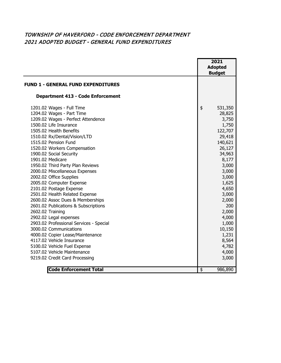#### TOWNSHIP OF HAVERFORD - CODE ENFORCEMENT DEPARTMENT 2021 ADOPTED BUDGET - GENERAL FUND EXPENDITURES

|                                                                                                                                                                                                                                                                                                                                                                                                                                                                                                                                                                                                                                                                                                                       |                           | 2021<br><b>Adopted</b><br><b>Budget</b>                                                                                                                                                                              |
|-----------------------------------------------------------------------------------------------------------------------------------------------------------------------------------------------------------------------------------------------------------------------------------------------------------------------------------------------------------------------------------------------------------------------------------------------------------------------------------------------------------------------------------------------------------------------------------------------------------------------------------------------------------------------------------------------------------------------|---------------------------|----------------------------------------------------------------------------------------------------------------------------------------------------------------------------------------------------------------------|
| <b>FUND 1 - GENERAL FUND EXPENDITURES</b>                                                                                                                                                                                                                                                                                                                                                                                                                                                                                                                                                                                                                                                                             |                           |                                                                                                                                                                                                                      |
| <b>Department 413 - Code Enforcement</b>                                                                                                                                                                                                                                                                                                                                                                                                                                                                                                                                                                                                                                                                              |                           |                                                                                                                                                                                                                      |
| 1201.02 Wages - Full Time<br>1204.02 Wages - Part Time<br>1209.02 Wages - Perfect Attendence<br>1500.02 Life Insurance<br>1505.02 Health Benefits<br>1510.02 Rx/Dental/Vision/LTD<br>1515.02 Pension Fund<br>1520.02 Workers Compensation<br>1900.02 Social Security<br>1901.02 Medicare<br>1950.02 Third Party Plan Reviews<br>2000.02 Miscellaneous Expenses<br>2002.02 Office Supplies<br>2005.02 Computer Expense<br>2101.02 Postage Expense<br>2501.02 Health Related Expense<br>2600.02 Assoc Dues & Memberships<br>2601.02 Publications & Subscriptions<br>2602.02 Training<br>2902.02 Legal expenses<br>2903.02 Professional Services - Special<br>3000.02 Communications<br>4000.02 Copier Lease/Maintenance | \$                        | 531,350<br>28,825<br>3,750<br>1,750<br>122,707<br>29,418<br>140,621<br>26,127<br>34,963<br>8,177<br>3,000<br>3,000<br>3,000<br>1,625<br>4,650<br>3,000<br>2,000<br>200<br>2,000<br>4,000<br>1,000<br>10,150<br>1,231 |
| 4117.02 Vehicle Insurance<br>5100.02 Vehicle Fuel Expense<br>5107.02 Vehicle Maintenance<br>9219.02 Credit Card Processing                                                                                                                                                                                                                                                                                                                                                                                                                                                                                                                                                                                            |                           | 8,564<br>4,782<br>4,000<br>3,000                                                                                                                                                                                     |
| <b>Code Enforcement Total</b>                                                                                                                                                                                                                                                                                                                                                                                                                                                                                                                                                                                                                                                                                         | $\overline{\mathfrak{s}}$ | 986,890                                                                                                                                                                                                              |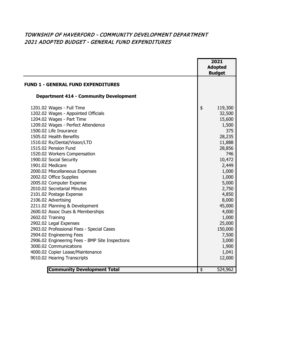#### TOWNSHIP OF HAVERFORD - COMMUNITY DEVELOPMENT DEPARTMENT 2021 ADOPTED BUDGET - GENERAL FUND EXPENDITURES

|                                                 |                         | 2021<br><b>Adopted</b> |
|-------------------------------------------------|-------------------------|------------------------|
|                                                 |                         | <b>Budget</b>          |
| <b>FUND 1 - GENERAL FUND EXPENDITURES</b>       |                         |                        |
| <b>Department 414 - Community Development</b>   |                         |                        |
| 1201.02 Wages - Full Time                       | \$                      | 119,300                |
| 1202.02 Wages - Appointed Officials             |                         | 32,500                 |
| 1204.02 Wages - Part Time                       |                         | 15,600                 |
| 1209.02 Wages - Perfect Attendence              |                         | 1,500                  |
| 1500.02 Life Insurance                          |                         | 375                    |
| 1505.02 Health Benefits                         |                         | 28,235                 |
| 1510.02 Rx/Dental/Vision/LTD                    |                         | 11,888                 |
| 1515.02 Pension Fund                            |                         | 28,856                 |
| 1520.02 Workers Compensation                    |                         | 746                    |
| 1900.02 Social Security                         |                         | 10,472                 |
| 1901.02 Medicare                                |                         | 2,449                  |
| 2000.02 Miscellaneous Expenses                  |                         | 1,000                  |
| 2002.02 Office Supplies                         |                         | 1,000                  |
| 2005.02 Computer Expense                        |                         | 5,000                  |
| 2010.02 Secretarial Minutes                     |                         | 2,750                  |
| 2101.02 Postage Expense                         |                         | 4,850                  |
| 2106.02 Advertising                             |                         | 8,000                  |
| 2211.02 Planning & Development                  |                         | 45,000                 |
| 2600.02 Assoc Dues & Memberships                |                         | 4,000                  |
| 2602.02 Training                                |                         | 1,000                  |
| 2902.02 Legal Expenses                          |                         | 25,000                 |
| 2903.02 Professional Fees - Special Cases       |                         | 150,000                |
| 2904.02 Engineering Fees                        |                         | 7,500                  |
| 2906.02 Engineering Fees - BMP Site Inspections |                         | 3,000                  |
| 3000.02 Communications                          |                         | 1,900                  |
| 4000.02 Copier Lease/Maintenance                |                         | 1,041                  |
| 9010.02 Hearing Transcripts                     |                         | 12,000                 |
| <b>Community Development Total</b>              | $\overline{\mathbf{3}}$ | 524,962                |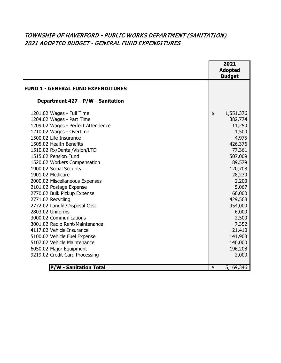## TOWNSHIP OF HAVERFORD - PUBLIC WORKS DEPARTMENT (SANITATION) 2021 ADOPTED BUDGET - GENERAL FUND EXPENDITURES

|                                           | 2021            |
|-------------------------------------------|-----------------|
|                                           | <b>Adopted</b>  |
|                                           | <b>Budget</b>   |
| <b>FUND 1 - GENERAL FUND EXPENDITURES</b> |                 |
| Department 427 - P/W - Sanitation         |                 |
|                                           |                 |
| 1201.02 Wages - Full Time                 | \$<br>1,551,376 |
| 1204.02 Wages - Part Time                 | 382,774         |
| 1209.02 Wages - Perfect Attendence        | 11,250          |
| 1210.02 Wages - Overtime                  | 1,500           |
| 1500.02 Life Insurance                    | 4,975           |
| 1505.02 Health Benefits                   | 426,376         |
| 1510.02 Rx/Dental/Vision/LTD              | 77,361          |
| 1515.02 Pension Fund                      | 507,009         |
| 1520.02 Workers Compensation              | 89,579          |
| 1900.02 Social Security                   | 120,708         |
| 1901.02 Medicare                          | 28,230          |
| 2000.02 Miscellaneous Expenses            | 2,200           |
| 2101.02 Postage Expense                   | 5,067           |
| 2770.02 Bulk Pickup Expense               | 60,000          |
| 2771.02 Recycling                         | 429,568         |
| 2772.02 Landfill/Disposal Cost            | 954,000         |
| 2803.02 Uniforms                          | 6,000           |
| 3000.02 Communications                    | 2,500           |
| 3001.02 Radio Rent/Maintenance            | 7,352           |
| 4117.02 Vehicle Insurance                 | 21,410          |
| 5100.02 Vehicle Fuel Expense              | 141,903         |
| 5107.02 Vehicle Maintenance               | 140,000         |
| 6050.02 Major Equipment                   | 196,208         |
| 9219.02 Credit Card Processing            | 2,000           |
|                                           |                 |
| <b>P/W - Sanitation Total</b>             | \$<br>5,169,346 |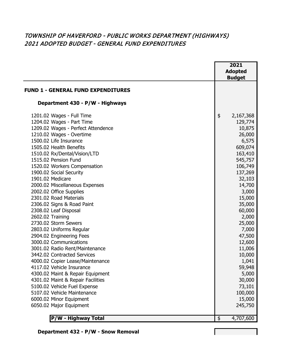## TOWNSHIP OF HAVERFORD - PUBLIC WORKS DEPARTMENT (HIGHWAYS) 2021 ADOPTED BUDGET - GENERAL FUND EXPENDITURES

|                                           | 2021            |
|-------------------------------------------|-----------------|
|                                           | <b>Adopted</b>  |
|                                           | <b>Budget</b>   |
| <b>FUND 1 - GENERAL FUND EXPENDITURES</b> |                 |
|                                           |                 |
| Department 430 - P/W - Highways           |                 |
| 1201.02 Wages - Full Time                 | \$<br>2,167,368 |
| 1204.02 Wages - Part Time                 | 129,774         |
| 1209.02 Wages - Perfect Attendence        | 10,875          |
| 1210.02 Wages - Overtime                  | 26,000          |
| 1500.02 Life Insurance                    | 6,575           |
| 1505.02 Health Benefits                   | 609,074         |
| 1510.02 Rx/Dental/Vision/LTD              | 163,410         |
| 1515.02 Pension Fund                      | 545,757         |
| 1520.02 Workers Compensation              | 106,749         |
| 1900.02 Social Security                   | 137,269         |
| 1901.02 Medicare                          | 32,103          |
| 2000.02 Miscellaneous Expenses            | 14,700          |
| 2002.02 Office Supplies                   | 3,000           |
| 2301.02 Road Materials                    | 15,000          |
| 2306.02 Signs & Road Paint                | 35,000          |
| 2308.02 Leaf Disposal                     | 60,000          |
| 2602.02 Training                          | 2,000           |
| 2730.02 Storm Sewers                      | 25,000          |
| 2803.02 Uniforms Regular                  | 7,000           |
| 2904.02 Engineering Fees                  | 47,500          |
| 3000.02 Communications                    | 12,600          |
| 3001.02 Radio Rent/Maintenance            | 11,006          |
| 3442.02 Contracted Services               | 10,000          |
| 4000.02 Copier Lease/Maintenance          | 1,041           |
| 4117.02 Vehicle Insurance                 | 59,948          |
| 4300.02 Maint & Repair Equipment          | 5,000           |
| 4301.02 Maint & Repair Facilities         | 30,000          |
| 5100.02 Vehicle Fuel Expense              | 73,101          |
| 5107.02 Vehicle Maintenance               | 100,000         |
| 6000.02 Minor Equipment                   | 15,000          |
| 6050.02 Major Equipment                   | 245,750         |
|                                           |                 |
| P/W - Highway Total                       | \$<br>4,707,600 |

 **Department 432 - P/W - Snow Removal**

**Contract Contract**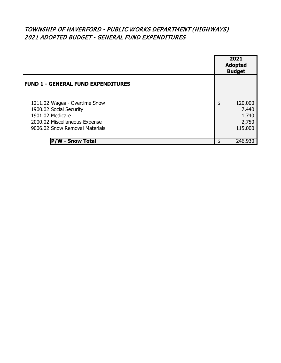## TOWNSHIP OF HAVERFORD - PUBLIC WORKS DEPARTMENT (HIGHWAYS) 2021 ADOPTED BUDGET - GENERAL FUND EXPENDITURES

|                                                                                                                                                 | 2021<br><b>Adopted</b><br><b>Budget</b>             |
|-------------------------------------------------------------------------------------------------------------------------------------------------|-----------------------------------------------------|
| <b>FUND 1 - GENERAL FUND EXPENDITURES</b>                                                                                                       |                                                     |
| 1211.02 Wages - Overtime Snow<br>1900.02 Social Security<br>1901.02 Medicare<br>2000.02 Miscellaneous Expense<br>9006.02 Snow Removal Materials | \$<br>120,000<br>7,440<br>1,740<br>2,750<br>115,000 |
| <b>Snow Total</b>                                                                                                                               | 246,930                                             |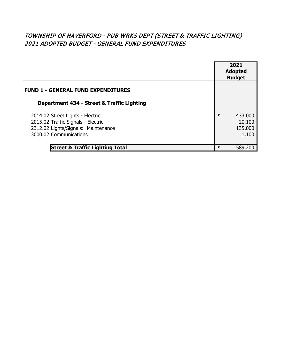## TOWNSHIP OF HAVERFORD - PUB WRKS DEPT (STREET & TRAFFIC LIGHTING) 2021 ADOPTED BUDGET - GENERAL FUND EXPENDITURES

|                                                                                                                                         | 2021<br><b>Adopted</b><br><b>Budget</b>     |
|-----------------------------------------------------------------------------------------------------------------------------------------|---------------------------------------------|
| <b>FUND 1 - GENERAL FUND EXPENDITURES</b>                                                                                               |                                             |
| Department 434 - Street & Traffic Lighting                                                                                              |                                             |
| 2014.02 Street Lights - Electric<br>2015.02 Traffic Signals - Electric<br>2312.02 Lights/Signals: Maintenance<br>3000.02 Communications | \$<br>433,000<br>20,100<br>135,000<br>1,100 |
| <b>Street &amp; Traffic Lighting Total</b>                                                                                              | \$<br>589,200                               |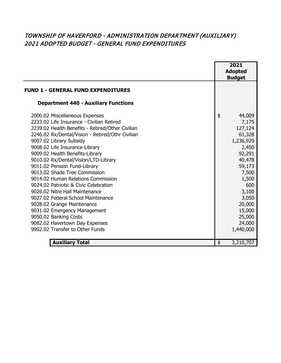## TOWNSHIP OF HAVERFORD - ADMINISTRATION DEPARTMENT (AUXILIARY) 2021 ADOPTED BUDGET - GENERAL FUND EXPENDITURES

|                                                                                                                                                                                                                                                                                                                                                                                                                                                                                                                                                                                                                                                                                                                 |               | 2021<br><b>Adopted</b><br><b>Budget</b>                                                                                                                                                  |
|-----------------------------------------------------------------------------------------------------------------------------------------------------------------------------------------------------------------------------------------------------------------------------------------------------------------------------------------------------------------------------------------------------------------------------------------------------------------------------------------------------------------------------------------------------------------------------------------------------------------------------------------------------------------------------------------------------------------|---------------|------------------------------------------------------------------------------------------------------------------------------------------------------------------------------------------|
| <b>FUND 1 - GENERAL FUND EXPENDITURES</b>                                                                                                                                                                                                                                                                                                                                                                                                                                                                                                                                                                                                                                                                       |               |                                                                                                                                                                                          |
| <b>Department 440 - Auxiliary Functions</b>                                                                                                                                                                                                                                                                                                                                                                                                                                                                                                                                                                                                                                                                     |               |                                                                                                                                                                                          |
| 2000.02 Miscellaneous Expenses<br>2233.02 Life Insurance - Civilian Retired<br>2239.02 Health Benefits - Retired/Other Civilian<br>2246.02 Rx/Dental/Vision - Retired/Othr Civilian<br>9007.02 Library Subsidy<br>9008.02 Life Insurance-Library<br>9009.02 Health Benefits-Library<br>9010.02 Rx/Dental/Vision/LTD-Library<br>9011.02 Pension Fund-Library<br>9013.02 Shade Tree Commission<br>9014.02 Human Relations Commission<br>9024.02 Patriotic & Civic Celebration<br>9026.02 Nitre Hall Maintenance<br>9027.02 Federal School Maintenance<br>9028.02 Grange Maintenance<br>9031.02 Emergency Management<br>9050.02 Banking Costs<br>9082.02 Havertown Day Expenses<br>9902.02 Transfer to Other Funds | $\frac{1}{2}$ | 44,009<br>7,175<br>127,124<br>61,328<br>1,236,929<br>2,450<br>92,291<br>40,478<br>59,173<br>7,500<br>1,500<br>600<br>3,100<br>3,050<br>20,000<br>15,000<br>25,000<br>24,000<br>1,440,000 |
| <b>Auxiliary Total</b>                                                                                                                                                                                                                                                                                                                                                                                                                                                                                                                                                                                                                                                                                          | \$            | 3,210,707                                                                                                                                                                                |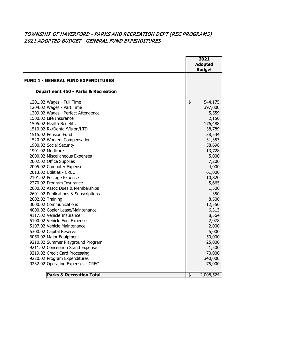#### TOWNSHIP OF HAVERFORD - PARKS AND RECREATION DEPT (REC PROGRAMS) 2021 ADOPTED BUDGET - GENERAL FUND EXPENDITURES

|                                                                                                                                                                                                                                                                                                                                                                                                                                                                                                                                                                                                                                                                                                                                                                                                                                                                                                                                                                       |                         | 2021<br><b>Adopted</b><br><b>Budget</b>                                                                                                                                                                                                                                                               |
|-----------------------------------------------------------------------------------------------------------------------------------------------------------------------------------------------------------------------------------------------------------------------------------------------------------------------------------------------------------------------------------------------------------------------------------------------------------------------------------------------------------------------------------------------------------------------------------------------------------------------------------------------------------------------------------------------------------------------------------------------------------------------------------------------------------------------------------------------------------------------------------------------------------------------------------------------------------------------|-------------------------|-------------------------------------------------------------------------------------------------------------------------------------------------------------------------------------------------------------------------------------------------------------------------------------------------------|
| <b>FUND 1 - GENERAL FUND EXPENDITURES</b>                                                                                                                                                                                                                                                                                                                                                                                                                                                                                                                                                                                                                                                                                                                                                                                                                                                                                                                             |                         |                                                                                                                                                                                                                                                                                                       |
| <b>Department 450 - Parks &amp; Recreation</b>                                                                                                                                                                                                                                                                                                                                                                                                                                                                                                                                                                                                                                                                                                                                                                                                                                                                                                                        |                         |                                                                                                                                                                                                                                                                                                       |
| 1201.02 Wages - Full Time<br>1204.02 Wages - Part Time<br>1209.02 Wages - Perfect Attendence<br>1500.02 Life Insurance<br>1505.02 Health Benefits<br>1510.02 Rx/Dental/Vision/LTD<br>1515.02 Pension Fund<br>1520.02 Workers Compensation<br>1900.02 Social Security<br>1901.02 Medicare<br>2000.02 Miscellaneous Expenses<br>2002.02 Office Supplies<br>2005.02 Computer Expense<br>2013.02 Utilities - CREC<br>2101.02 Postage Expense<br>2270.02 Program Insurance<br>2600.02 Assoc Dues & Memberships<br>2601.02 Publications & Subscriptions<br>2602.02 Training<br>3000.02 Communications<br>4000.02 Copier Lease/Maintenance<br>4117.02 Vehicle Insurance<br>5100.02 Vehicle Fuel Expense<br>5107.02 Vehicle Maintenance<br>5300.02 Capital Reserve<br>6050.02 Major Equipment<br>9210.02 Summer Playground Program<br>9211.02 Concession Stand Expense<br>9219.02 Credit Card Processing<br>9220.02 Program Expenditures<br>9232.02 Operating Expenses - CREC | \$                      | 544,175<br>397,000<br>5,559<br>2,150<br>176,488<br>38,789<br>38,544<br>31,353<br>58,698<br>13,728<br>5,000<br>7,200<br>4,000<br>61,000<br>10,820<br>5,665<br>1,500<br>350<br>8,500<br>12,550<br>6,313<br>8,564<br>2,078<br>2,000<br>5,000<br>50,000<br>25,000<br>1,500<br>70,000<br>340,000<br>75,000 |
| <b>Parks &amp; Recreation Total</b>                                                                                                                                                                                                                                                                                                                                                                                                                                                                                                                                                                                                                                                                                                                                                                                                                                                                                                                                   | $\overline{\mathbf{e}}$ | 2,008,524                                                                                                                                                                                                                                                                                             |
|                                                                                                                                                                                                                                                                                                                                                                                                                                                                                                                                                                                                                                                                                                                                                                                                                                                                                                                                                                       |                         |                                                                                                                                                                                                                                                                                                       |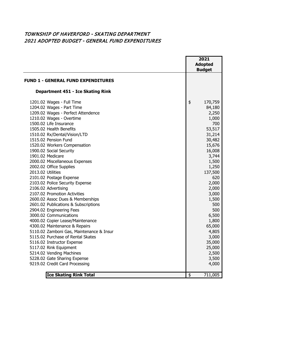#### TOWNSHIP OF HAVERFORD - SKATING DEPARTMENT 2021 ADOPTED BUDGET - GENERAL FUND EXPENDITURES

|                                                        | 2021<br><b>Adopted</b><br><b>Budget</b> |
|--------------------------------------------------------|-----------------------------------------|
| <b>FUND 1 - GENERAL FUND EXPENDITURES</b>              |                                         |
| <b>Department 451 - Ice Skating Rink</b>               |                                         |
| 1201.02 Wages - Full Time                              | \$<br>170,759                           |
| 1204.02 Wages - Part Time                              | 84,180                                  |
| 1209.02 Wages - Perfect Attendence                     | 2,250                                   |
| 1210.02 Wages - Overtime                               | 1,000                                   |
| 1500.02 Life Insurance                                 | 700                                     |
| 1505.02 Health Benefits                                | 53,517                                  |
| 1510.02 Rx/Dental/Vision/LTD                           | 31,214                                  |
| 1515.02 Pension Fund                                   | 30,482                                  |
| 1520.02 Workers Compensation                           | 15,676                                  |
| 1900.02 Social Security                                | 16,008                                  |
| 1901.02 Medicare                                       | 3,744                                   |
| 2000.02 Miscellaneous Expenses                         | 1,500                                   |
| 2002.02 Office Supplies                                | 1,250                                   |
| 2013.02 Utilities                                      | 137,500                                 |
| 2101.02 Postage Expense                                | 620<br>2,000                            |
| 2103.02 Police Security Expense<br>2106.02 Advertising |                                         |
| 2107.02 Promotion Activities                           | 2,000                                   |
| 2600.02 Assoc Dues & Memberships                       | 3,000<br>1,500                          |
| 2601.02 Publications & Subscriptions                   | 500                                     |
| 2904.02 Engineering Fees                               | 500                                     |
| 3000.02 Communications                                 | 6,500                                   |
| 4000.02 Copier Lease/Maintenance                       | 1,800                                   |
| 4300.02 Maintenance & Repairs                          | 65,000                                  |
| 5110.02 Zamboni Gas, Maintenance & Insur               | 4,805                                   |
| 5115.02 Purchase of Rental Skates                      | 3,000                                   |
| 5116.02 Instructor Expense                             | 35,000                                  |
| 5117.02 Rink Equipment                                 | 25,000                                  |
| 5214.02 Vending Machines                               | 2,500                                   |
| 5228.02 Gate Sharing Expense                           | 3,500                                   |
| 9219.02 Credit Card Processing                         | 4,000                                   |
| <b>Ice Skating Rink Total</b>                          | \$<br>711,005                           |
|                                                        |                                         |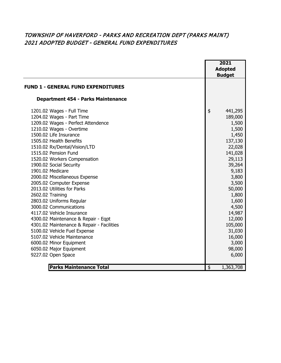#### TOWNSHIP OF HAVERFORD - PARKS AND RECREATION DEPT (PARKS MAINT) 2021 ADOPTED BUDGET - GENERAL FUND EXPENDITURES

|                                           | 2021<br><b>Adopted</b><br><b>Budget</b> |  |
|-------------------------------------------|-----------------------------------------|--|
| <b>FUND 1 - GENERAL FUND EXPENDITURES</b> |                                         |  |
| <b>Department 454 - Parks Maintenance</b> |                                         |  |
| 1201.02 Wages - Full Time                 | \$<br>441,295                           |  |
| 1204.02 Wages - Part Time                 | 189,000                                 |  |
| 1209.02 Wages - Perfect Attendence        | 1,500                                   |  |
| 1210.02 Wages - Overtime                  | 1,500                                   |  |
| 1500.02 Life Insurance                    | 1,450                                   |  |
| 1505.02 Health Benefits                   | 137,130                                 |  |
| 1510.02 Rx/Dental/Vision/LTD              | 22,028                                  |  |
| 1515.02 Pension Fund                      | 141,028                                 |  |
| 1520.02 Workers Compensation              | 29,113                                  |  |
| 1900.02 Social Security                   | 39,264                                  |  |
| 1901.02 Medicare                          | 9,183                                   |  |
| 2000.02 Miscellaneous Expense             | 3,800                                   |  |
| 2005.02 Computer Expense                  | 3,500                                   |  |
| 2013.02 Utilities for Parks               | 50,000                                  |  |
| 2602.02 Training                          | 1,800                                   |  |
| 2803.02 Uniforms Regular                  | 1,600                                   |  |
| 3000.02 Communications                    | 4,500                                   |  |
| 4117.02 Vehicle Insurance                 | 14,987                                  |  |
| 4300.02 Maintenance & Repair - Eqpt       | 12,000                                  |  |
| 4301.02 Maintenance & Repair - Facilities | 105,000                                 |  |
| 5100.02 Vehicle Fuel Expense              | 31,030                                  |  |
| 5107.02 Vehicle Maintenance               | 16,000                                  |  |
| 6000.02 Minor Equipment                   | 3,000                                   |  |
| 6050.02 Major Equipment                   | 98,000                                  |  |
| 9227.02 Open Space                        | 6,000                                   |  |
| <b>Parks Maintenance Total</b>            | \$<br>1,363,708                         |  |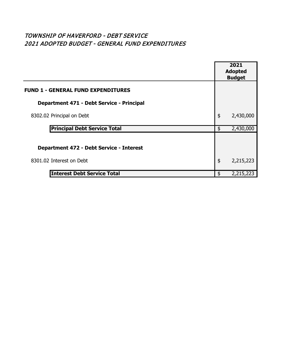## TOWNSHIP OF HAVERFORD - DEBT SERVICE 2021 ADOPTED BUDGET - GENERAL FUND EXPENDITURES

|                                                 | 2021<br><b>Adopted</b><br><b>Budget</b> |           |
|-------------------------------------------------|-----------------------------------------|-----------|
| <b>FUND 1 - GENERAL FUND EXPENDITURES</b>       |                                         |           |
| Department 471 - Debt Service - Principal       |                                         |           |
| 8302.02 Principal on Debt                       | \$                                      | 2,430,000 |
| <b>Principal Debt Service Total</b>             | \$                                      | 2,430,000 |
| <b>Department 472 - Debt Service - Interest</b> |                                         |           |
| 8301.02 Interest on Debt                        | \$                                      | 2,215,223 |
| <b>Interest Debt Service Total</b>              | \$                                      | 2,215,223 |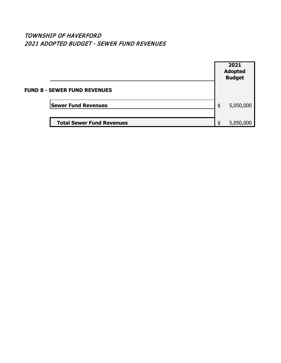### TOWNSHIP OF HAVERFORD 2021 ADOPTED BUDGET - SEWER FUND REVENUES

|                                     | 2021<br><b>Adopted</b><br><b>Budget</b> |
|-------------------------------------|-----------------------------------------|
| <b>FUND 8 - SEWER FUND REVENUES</b> |                                         |
| <b>Sewer Fund Revenues</b>          | \$<br>5,050,000                         |
| <b>Total Sewer Fund Revenues</b>    | \$<br>5,050,000                         |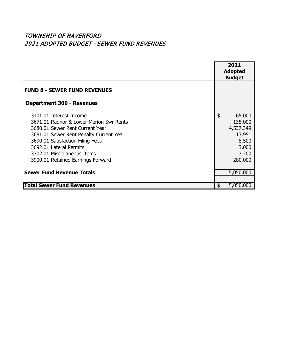## TOWNSHIP OF HAVERFORD 2021 ADOPTED BUDGET - SEWER FUND REVENUES

|                                         |                | 2021      |
|-----------------------------------------|----------------|-----------|
|                                         | <b>Adopted</b> |           |
|                                         | <b>Budget</b>  |           |
| <b>FUND 8 - SEWER FUND REVENUES</b>     |                |           |
|                                         |                |           |
| <b>Department 300 - Revenues</b>        |                |           |
| 3401.01 Interest Income                 | \$             | 65,000    |
| 3671.01 Radnor & Lower Merion Swr Rents |                | 135,000   |
| 3680.01 Sewer Rent Current Year         |                | 4,537,349 |
| 3681.01 Sewer Rent Penalty Current Year |                | 13,951    |
| 3690.01 Satisfaction Filing Fees        |                | 8,500     |
| 3692.01 Lateral Permits                 |                | 3,000     |
| 3702.01 Miscellaneous Items             |                | 7,200     |
| 3900.01 Retained Earnings Forward       |                | 280,000   |
| <b>Sewer Fund Revenue Totals</b>        |                |           |
|                                         |                | 5,050,000 |
| <b>Total Sewer Fund Revenues</b>        | \$             | 5,050,000 |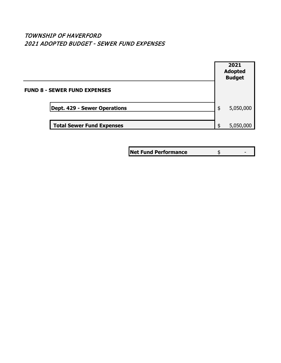### TOWNSHIP OF HAVERFORD 2021 ADOPTED BUDGET - SEWER FUND EXPENSES

|                                     | 2021<br><b>Adopted</b><br><b>Budget</b> |
|-------------------------------------|-----------------------------------------|
| <b>FUND 8 - SEWER FUND EXPENSES</b> |                                         |
| Dept. 429 - Sewer Operations        | \$<br>5,050,000                         |
| <b>Total Sewer Fund Expenses</b>    | \$<br>5,050,000                         |

**Net Fund Performance**  $\frac{1}{2}$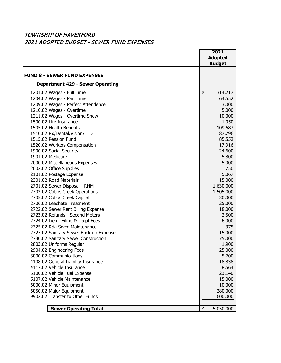#### TOWNSHIP OF HAVERFORD 2021 ADOPTED BUDGET - SEWER FUND EXPENSES

|                                         | 2021<br><b>Adopted</b><br><b>Budget</b> |
|-----------------------------------------|-----------------------------------------|
| <b>FUND 8 - SEWER FUND EXPENSES</b>     |                                         |
| <b>Department 429 - Sewer Operating</b> |                                         |
| 1201.02 Wages - Full Time               | \$<br>314,217                           |
| 1204.02 Wages - Part Time               | 64,552                                  |
| 1209.02 Wages - Perfect Attendence      | 3,000                                   |
| 1210.02 Wages - Overtime                | 5,000                                   |
| 1211.02 Wages - Overtime Snow           | 10,000                                  |
| 1500.02 Life Insurance                  | 1,050                                   |
| 1505.02 Health Benefits                 | 109,683                                 |
| 1510.02 Rx/Dental/Vision/LTD            | 87,796                                  |
| 1515.02 Pension Fund                    | 85,552                                  |
| 1520.02 Workers Compensation            | 17,916                                  |
| 1900.02 Social Security                 | 24,600                                  |
| 1901.02 Medicare                        | 5,800                                   |
| 2000.02 Miscellaneous Expenses          | 5,000                                   |
| 2002.02 Office Supplies                 | 750                                     |
| 2101.02 Postage Expense                 | 5,067                                   |
| 2301.02 Road Materials                  | 15,000                                  |
| 2701.02 Sewer Disposal - RHM            | 1,630,000                               |
| 2702.02 Cobbs Creek Operations          | 1,505,000                               |
| 2705.02 Cobbs Creek Capital             | 30,000                                  |
| 2706.02 Leachate Treatment              | 25,000                                  |
| 2722.02 Sewer Rent Billing Expense      | 18,000                                  |
| 2723.02 Refunds - Second Meters         | 2,500                                   |
| 2724.02 Lien - Filing & Legal Fees      | 6,000                                   |
| 2725.02 Rdg Srvcg Maintenance           | 375                                     |
| 2727.02 Sanitary Sewer Back-up Expense  | 15,000                                  |
| 2730.02 Sanitary Sewer Construction     | 75,000                                  |
| 2803.02 Uniforms Regular                | 1,900                                   |
| 2904.02 Engineering Fees                | 25,000                                  |
| 3000.02 Communications                  | 5,700                                   |
| 4108.02 General Liability Insurance     | 18,838                                  |
| 4117.02 Vehicle Insurance               | 8,564                                   |
| 5100.02 Vehicle Fuel Expense            | 23,140                                  |
| 5107.02 Vehicle Maintenance             | 15,000                                  |
| 6000.02 Minor Equipment                 | 10,000                                  |
| 6050.02 Major Equipment                 | 280,000                                 |
| 9902.02 Transfer to Other Funds         | 600,000                                 |
| <b>Sewer Operating Total</b>            | \$<br>5,050,000                         |
|                                         |                                         |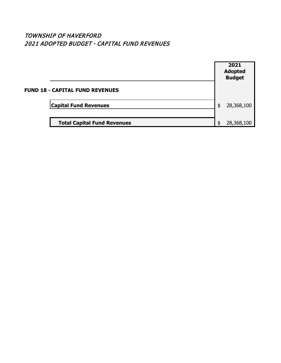### TOWNSHIP OF HAVERFORD 2021 ADOPTED BUDGET - CAPITAL FUND REVENUES

|                                        | 2021<br><b>Adopted</b><br><b>Budget</b> |
|----------------------------------------|-----------------------------------------|
| <b>FUND 18 - CAPITAL FUND REVENUES</b> |                                         |
| <b>Capital Fund Revenues</b>           | \$<br>28,368,100                        |
| <b>Total Capital Fund Revenues</b>     | \$<br>28,368,100                        |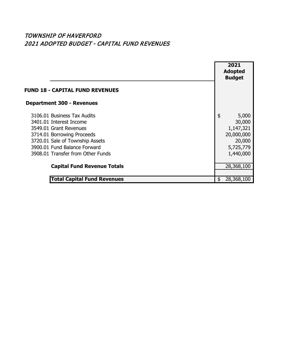## TOWNSHIP OF HAVERFORD 2021 ADOPTED BUDGET - CAPITAL FUND REVENUES

|                                                                                                                                                                                                                        | 2021<br><b>Adopted</b><br><b>Budget</b>                                              |
|------------------------------------------------------------------------------------------------------------------------------------------------------------------------------------------------------------------------|--------------------------------------------------------------------------------------|
| <b>FUND 18 - CAPITAL FUND REVENUES</b>                                                                                                                                                                                 |                                                                                      |
| <b>Department 300 - Revenues</b>                                                                                                                                                                                       |                                                                                      |
| 3106.01 Business Tax Audits<br>3401.01 Interest Income<br>3549.01 Grant Revenues<br>3714.01 Borrowing Proceeds<br>3720.01 Sale of Township Assets<br>3900.01 Fund Balance Forward<br>3908.01 Transfer from Other Funds | \$<br>5,000<br>30,000<br>1,147,321<br>20,000,000<br>20,000<br>5,725,779<br>1,440,000 |
| <b>Capital Fund Revenue Totals</b>                                                                                                                                                                                     | 28,368,100                                                                           |
| <b>Total Capital Fund Revenues</b>                                                                                                                                                                                     | 28,368,100<br>S                                                                      |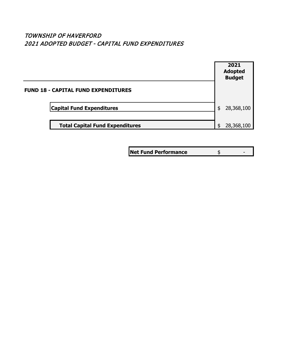### TOWNSHIP OF HAVERFORD 2021 ADOPTED BUDGET - CAPITAL FUND EXPENDITURES



**Net Fund Performance**  $\frac{1}{2}$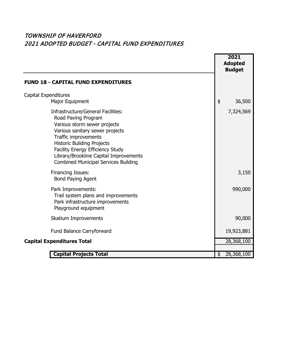## TOWNSHIP OF HAVERFORD 2021 ADOPTED BUDGET - CAPITAL FUND EXPENDITURES

|                                                                                                                                                                                                                                                                                                                               | 2021<br><b>Adopted</b><br><b>Budget</b> |
|-------------------------------------------------------------------------------------------------------------------------------------------------------------------------------------------------------------------------------------------------------------------------------------------------------------------------------|-----------------------------------------|
| <b>FUND 18 - CAPITAL FUND EXPENDITURES</b>                                                                                                                                                                                                                                                                                    |                                         |
| <b>Capital Expenditures</b>                                                                                                                                                                                                                                                                                                   |                                         |
| Major Equipment                                                                                                                                                                                                                                                                                                               | \$<br>36,500                            |
| Infrastructure/General Facilities:<br>Road Paving Program<br>Various storm sewer projects<br>Various sanitary sewer projects<br>Traffic improvements<br><b>Historic Building Projects</b><br><b>Facility Energy Efficiency Study</b><br>Library/Brookline Capital Improvements<br><b>Combined Municipal Services Building</b> | 7,324,569                               |
| <b>Financing Issues:</b><br><b>Bond Paying Agent</b>                                                                                                                                                                                                                                                                          | 3,150                                   |
| Park Improvements:<br>Trail system plans and improvements<br>Park infrastructure improvements<br>Playground equipment                                                                                                                                                                                                         | 990,000                                 |
| Skatium Improvements                                                                                                                                                                                                                                                                                                          | 90,000                                  |
| Fund Balance Carryforward                                                                                                                                                                                                                                                                                                     | 19,923,881                              |
| <b>Capital Expenditures Total</b>                                                                                                                                                                                                                                                                                             | 28,368,100                              |
|                                                                                                                                                                                                                                                                                                                               |                                         |
| <b>Capital Projects Total</b>                                                                                                                                                                                                                                                                                                 | $\overline{28}$ , 368, 100<br>\$        |